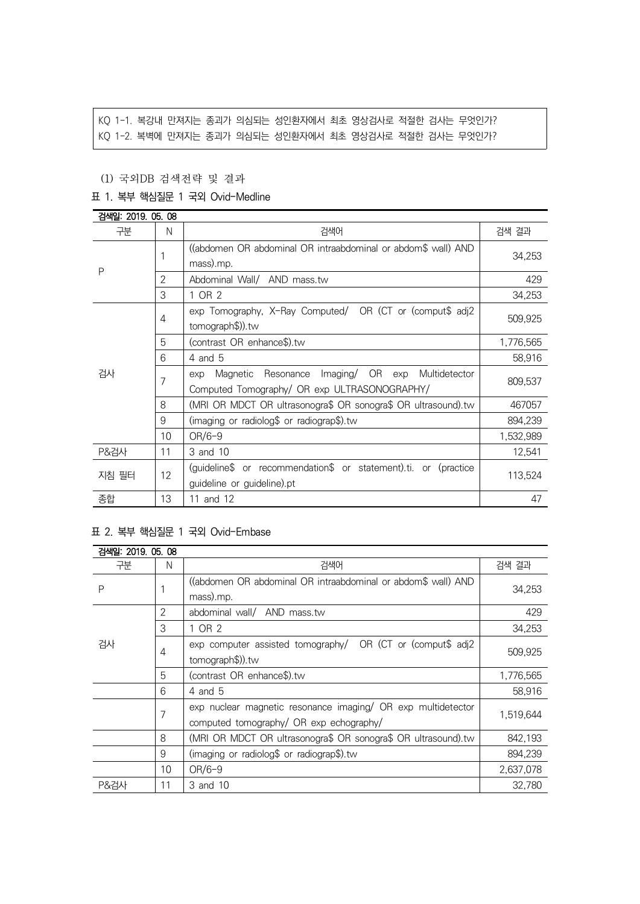# KQ 1-1. 복강내 만져지는 종괴가 의심되는 성인환자에서 최초 영상검사로 적절한 검사는 무엇인가? KQ 1-2. 복벽에 만져지는 종괴가 의심되는 성인환자에서 최초 영상검사로 적절한 검사는 무엇인가?

#### (1) 국외DB 검색전략 및 결과

# 표 1. 복부 핵심질문 1 국외 Ovid-Medline

| 검색일: 2019. 05. 08 |    |                                                                  |           |  |
|-------------------|----|------------------------------------------------------------------|-----------|--|
| 구분                | N  | 검색어                                                              | 검색 결과     |  |
| P                 |    | ((abdomen OR abdominal OR intraabdominal or abdom\$ wall) AND    | 34,253    |  |
|                   |    | mass).mp.                                                        |           |  |
|                   | 2  | Abdominal Wall/ AND mass.tw                                      | 429       |  |
|                   | 3  | 1 OR 2                                                           | 34,253    |  |
|                   | 4  | exp Tomography, X-Ray Computed/ OR (CT or (comput\$ adj2         |           |  |
|                   |    | tomograph\$)).tw                                                 | 509,925   |  |
|                   | 5  | (contrast OR enhance\$).tw                                       | 1,776,565 |  |
|                   | 6  | 4 and 5                                                          | 58,916    |  |
| 검사                | 7  | Imaging/ OR exp<br>Multidetector<br>Magnetic<br>Resonance<br>exp | 809,537   |  |
|                   |    | Computed Tomography/ OR exp ULTRASONOGRAPHY/                     |           |  |
|                   | 8  | (MRI OR MDCT OR ultrasonogra\$ OR sonogra\$ OR ultrasound).tw    | 467057    |  |
|                   | 9  | (imaging or radiolog\$ or radiograp\$).tw                        | 894,239   |  |
|                   | 10 | $OR/6-9$                                                         | 1,532,989 |  |
| <b>P&amp;검사</b>   | 11 | 3 and 10                                                         | 12,541    |  |
| 지침 필터             | 12 | (guideline\$ or recommendation\$ or statement).ti. or (practice  |           |  |
|                   |    | guideline or guideline).pt                                       | 113,524   |  |
| 종합                | 13 | 11 and 12<br>47                                                  |           |  |

# 표 2. 복부 핵심질문 1 국외 Ovid-Embase

| 검색일: 2019, 05, 08 |    |                                                               |           |  |
|-------------------|----|---------------------------------------------------------------|-----------|--|
| 구분                | N  | 검색어                                                           | 검색 결과     |  |
| P                 |    | ((abdomen OR abdominal OR intraabdominal or abdom\$ wall) AND | 34,253    |  |
|                   |    | mass).mp.                                                     |           |  |
| 검사                | 2  | abdominal wall/ AND mass.tw                                   | 429       |  |
|                   | 3  | 1 OR 2                                                        | 34,253    |  |
|                   | 4  | exp computer assisted tomography/ OR (CT or (comput\$ adj2    | 509.925   |  |
|                   |    | tomograph\$)).tw                                              |           |  |
|                   | 5  | (contrast OR enhance\$).tw                                    | 1,776,565 |  |
|                   | 6  | 4 and 5                                                       | 58,916    |  |
|                   |    | exp nuclear magnetic resonance imaging/ OR exp multidetector  |           |  |
| 7                 |    | computed tomography/ OR exp echography/                       | 1.519.644 |  |
|                   | 8  | (MRI OR MDCT OR ultrasonogra\$ OR sonogra\$ OR ultrasound).tw | 842,193   |  |
|                   | 9  | (imaging or radiolog\$ or radiograp\$).tw                     | 894,239   |  |
|                   | 10 | $OR/6-9$                                                      | 2,637,078 |  |
| <b>P&amp;검사</b>   | 11 | 3 and 10                                                      | 32.780    |  |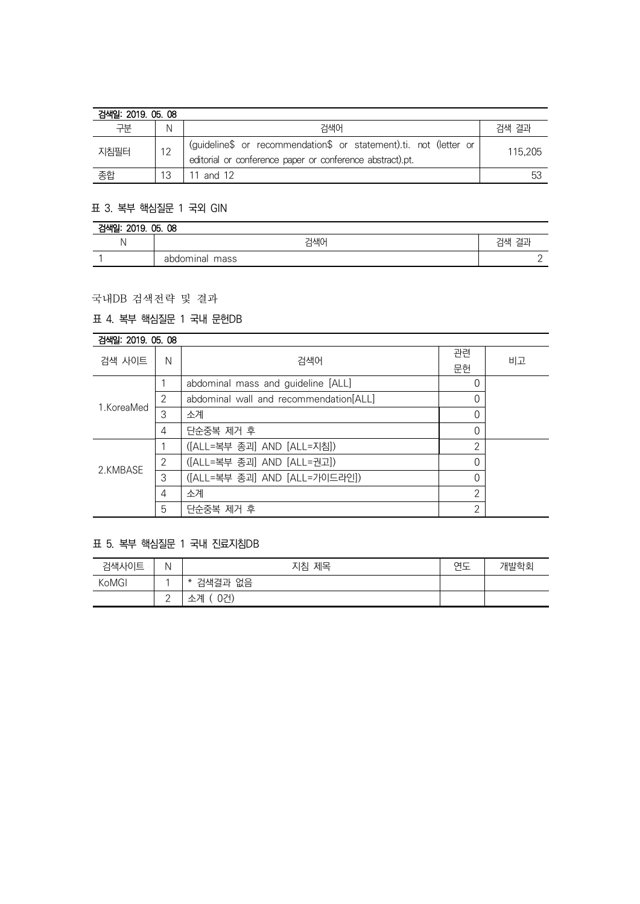| 검색일: 2019, 05, 08 |    |                                                                                                                                |         |  |
|-------------------|----|--------------------------------------------------------------------------------------------------------------------------------|---------|--|
| 구부                | N  | 검색어                                                                                                                            | 검색 결과   |  |
| 지침필터              | 12 | (guideline\$ or recommendation\$ or statement).ti. not (letter or<br>editorial or conference paper or conference abstract).pt. | 115.205 |  |
| 종합                | 13 | 11 and 12                                                                                                                      | -53     |  |

# 표 3. 복부 핵심질문 1 국외 GIN

| 2019. 05. 08<br>검색일: |                |          |  |  |
|----------------------|----------------|----------|--|--|
| M                    | 검색어            | ᆊᄉ<br>=- |  |  |
|                      | abdominal mass | -        |  |  |

# 국내DB 검색전략 및 결과

# 표 4. 복부 핵심질문 1 국내 문헌DB

| 검색일: 2019. 05. 08 |   |                                        |                |    |
|-------------------|---|----------------------------------------|----------------|----|
| 검색 사이트            | N | 검색어                                    | 관련             | 비고 |
|                   |   |                                        | 문헌             |    |
| 1.KoreaMed        |   | abdominal mass and guideline [ALL]     | 0              |    |
|                   | 2 | abdominal wall and recommendation[ALL] | 0              |    |
|                   | 3 | 소계                                     | 0              |    |
|                   | 4 | 단순중복 제거 후                              | 0              |    |
| 2.KMBASE          |   | ([ALL=복부 종괴] AND [ALL=지침])             | 2              |    |
|                   | 2 | ([ALL=복부 종괴] AND [ALL=권고])             | 0              |    |
|                   | 3 | ([ALL=복부 종괴] AND [ALL=가이드라인])          | $\Omega$       |    |
|                   | 4 | 소계                                     | 2              |    |
|                   | 5 | 단순중복 제거 후                              | $\mathfrak{D}$ |    |

# 표 5. 복부 핵심질문 1 국내 진료지침DB

| 검색사이트 | Ν               | 지침 제목             | 연도 | 개발학회 |
|-------|-----------------|-------------------|----|------|
| KoMGI |                 | 검색결과 없음<br>$\ast$ |    |      |
|       | $\sqrt{2}$<br>- | 0건)<br>소계         |    |      |